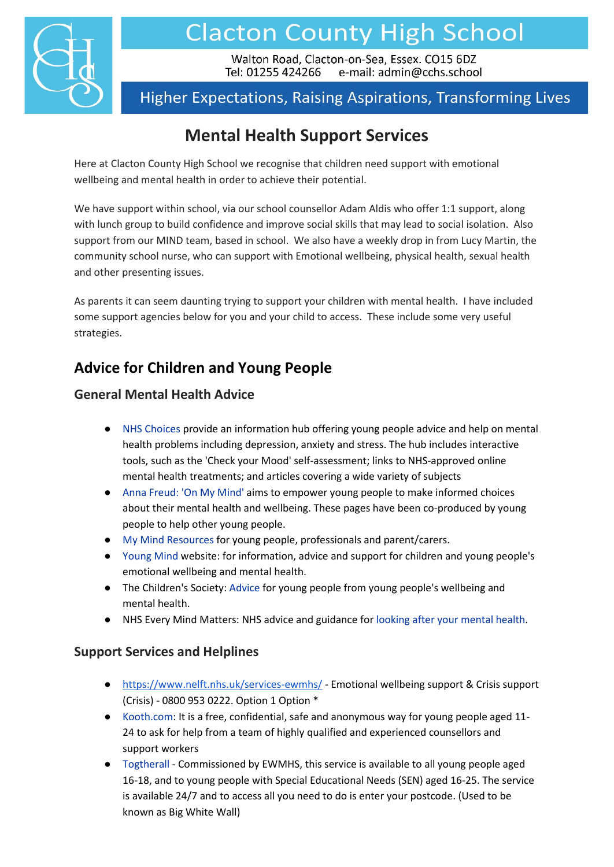

# **Clacton County High School**

Walton Road, Clacton-on-Sea, Essex. CO15 6DZ Tel: 01255 424266 e-mail: admin@cchs.school

# **Higher Expectations, Raising Aspirations, Transforming Lives**

# **Mental Health Support Services**

Here at Clacton County High School we recognise that children need support with emotional wellbeing and mental health in order to achieve their potential.

We have support within school, via our school counsellor Adam Aldis who offer 1:1 support, along with lunch group to build confidence and improve social skills that may lead to social isolation. Also support from our MIND team, based in school. We also have a weekly drop in from Lucy Martin, the community school nurse, who can support with Emotional wellbeing, physical health, sexual health and other presenting issues.

As parents it can seem daunting trying to support your children with mental health. I have included some support agencies below for you and your child to access. These include some very useful strategies.

## **Advice for Children and Young People**

#### **General Mental Health Advice**

- [NHS Choices p](http://www.nhs.uk/Livewell/youth-mental-health/Pages/Youth-mental-health-help.aspx%22%20/)rovide an information hub offering young people advice and help on mental health problems including depression, anxiety and stress. The hub includes interactive tools, such as the 'Check your Mood' self-assessment; links to NHS-approved online mental health treatments; and articles covering a wide variety of subjects
- [Anna Freud: 'On My Mind'](https://www.annafreud.org/on-my-mind/) aims to empower young people to make informed choices about their mental health and wellbeing. These pages have been co-produced by young people to help other young people.
- [My Mind Resources](https://www.mymind.org.uk/) for young people, professionals and parent/carers.
- [Young Mind](https://www.youngminds.org.uk/) website: for information, advice and support for children and young people's emotional wellbeing and mental health.
- The Children's Society[: Advice](https://www.childrenssociety.org.uk/information/young-people) for young people from young people's wellbeing and mental health.
- NHS Every Mind Matters: NHS advice and guidance for [looking after your mental health.](https://www.nhs.uk/oneyou/every-mind-matters/)

#### **Support Services and Helplines**

- <https://www.nelft.nhs.uk/services-ewmhs/> Emotional wellbeing support & Crisis support (Crisis) - 0800 953 0222. Option 1 Option \*
- [Kooth.com:](https://www.kooth.com/) It is a free, confidential, safe and anonymous way for young people aged 11-24 to ask for help from a team of highly qualified and experienced counsellors and support workers
- [Togtherall](https://togetherall.com/en-gb/) Commissioned by EWMHS, this service is available to all young people aged 16-18, and to young people with Special Educational Needs (SEN) aged 16-25. The service is available 24/7 and to access all you need to do is enter your postcode. (Used to be known as Big White Wall)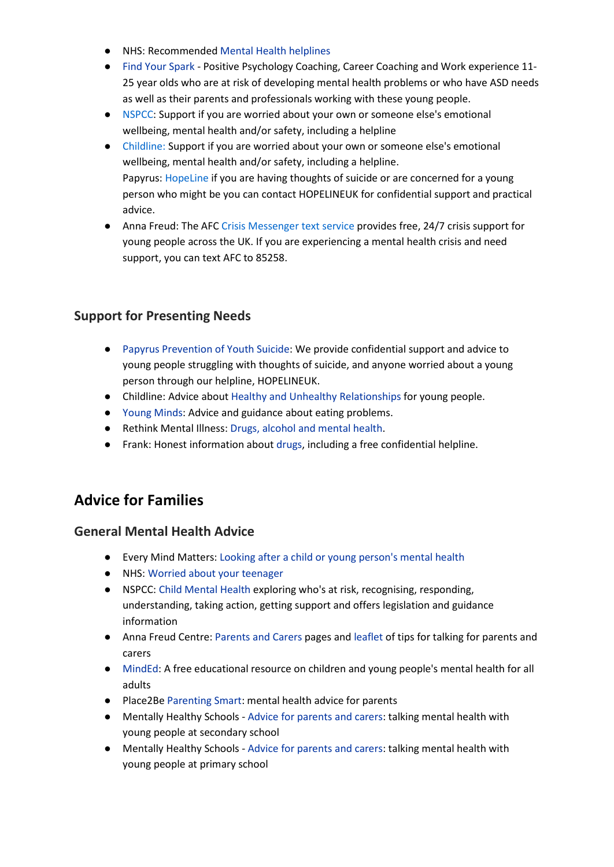- NHS: Recommende[d Mental Health helplines](https://www.nhs.uk/mental-health/nhs-voluntary-charity-services/charity-and-voluntary-services/get-help-from-mental-health-helplines/)
- [Find Your Spark](http://www.essexlocaloffer.org.uk/listing/find-your-spark/) Positive Psychology Coaching, Career Coaching and Work experience 11- 25 year olds who are at risk of developing mental health problems or who have ASD needs as well as their parents and professionals working with these young people.
- [NSPCC:](https://www.nspcc.org.uk/keeping-children-safe/childrens-mental-health/) Support if you are worried about your own or someone else's emotional wellbeing, mental health and/or safety, including a helpline
- [Childline:](https://www.childline.org.uk/info-advice/your-feelings/mental-health/) Support if you are worried about your own or someone else's emotional wellbeing, mental health and/or safety, including a helpline. Papyrus: [HopeLine](https://www.papyrus-uk.org/hopelineuk/) if you are having thoughts of suicide or are concerned for a young person who might be you can contact HOPELINEUK for confidential support and practical advice.
- Anna Freud: The AFC [Crisis Messenger text service](https://www.annafreud.org/on-my-mind/afc-crisis-messenger/) provides free, 24/7 crisis support for young people across the UK. If you are experiencing a mental health crisis and need support, you can text AFC to 85258.

#### **Support for Presenting Needs**

- [Papyrus Prevention of Youth Suicide:](https://www.papyrus-uk.org/) We provide confidential support and advice to young people struggling with thoughts of suicide, and anyone worried about a young person through our helpline, HOPELINEUK.
- Childline: Advice about [Healthy and Unhealthy Relationships](https://www.childline.org.uk/info-advice/friends-relationships-sex/sex-relationships/healthy-unhealthy-relationships/) for young people.
- [Young Minds:](https://www.youngminds.org.uk/) Advice and guidance about eating problems.
- Rethink Mental Illness[: Drugs, alcohol and mental health.](https://www.rethink.org/advice-and-information/about-mental-illness/learn-more-about-conditions/drugs-alcohol-and-mental-health/)
- Frank: Honest information about [drugs,](https://www.talktofrank.com/) including a free confidential helpline.

### **Advice for Families**

#### **General Mental Health Advice**

- Every Mind Matters: [Looking after a child or young person's mental health](https://www.nhs.uk/oneyou/every-mind-matters/childrens-mental-health/?WT.tsrc=search&WT.mc_id=EMMParentsSearch&gclid=EAIaIQobChMI5saUy4L17AIVCIBQBh0wUQrJEAAYASAAEgJ68PD_BwE)
- NHS: [Worried about your teenager](https://www.nhs.uk/conditions/stress-anxiety-depression/worried-about-your-teenager/)
- NSPCC: [Child Mental Health](https://learning.nspcc.org.uk/child-health-development/child-mental-health) exploring who's at risk, recognising, responding, understanding, taking action, getting support and offers legislation and guidance information
- Anna Freud Centre[: Parents and Carers](https://www.annafreud.org/parents-and-carers/) pages an[d leaflet](https://www.annafreud.org/media/7228/tmh-parent-leaflet-final-all-approved-laid-out-for-web.pdf) of tips for talking for parents and carers
- [MindEd:](https://www.minded.org.uk/) A free educational resource on children and young people's mental health for all adults
- Place2Be [Parenting Smart:](https://eur02.safelinks.protection.outlook.com/?url=https://parentingsmart.place2be.org.uk/&data=04%7c01%7c%7c6897ca1b9f6e4baf42dd08d9d6b451ab%7ca8b4324f155c4215a0f17ed8cc9a992f%7c0%7c0%7c637776894001206333%7cUnknown%7cTWFpbGZsb3d8eyJWIjoiMC4wLjAwMDAiLCJQIjoiV2luMzIiLCJBTiI6Ik1haWwiLCJXVCI6Mn0%3D%7c3000&sdata=yDNXOng9md57KSwfQfj5JiSU6GD0HXxYgSO9Q1sGo8w%3D&reserved=0) mental health advice for parents
- Mentally Healthy Schools [Advice for parents and carers:](https://eur02.safelinks.protection.outlook.com/?url=https://mentallyhealthyschools.org.uk/resources/advice-for-parents-and-carers-talking-mental-health-with-young-people-at-secondary-school/&data=04%7c01%7c%7c6897ca1b9f6e4baf42dd08d9d6b451ab%7ca8b4324f155c4215a0f17ed8cc9a992f%7c0%7c0%7c637776894001362548%7cUnknown%7cTWFpbGZsb3d8eyJWIjoiMC4wLjAwMDAiLCJQIjoiV2luMzIiLCJBTiI6Ik1haWwiLCJXVCI6Mn0%3D%7c3000&sdata=fpO0GYTA4m7d00VTJLvHNh/SOit%2BSnJXT5vLK%2BSj3KA%3D&reserved=0) talking mental health with young people at secondary school
- Mentally Healthy Schools [Advice for parents and carers:](https://eur02.safelinks.protection.outlook.com/?url=https://www.annafreud.org/schools-and-colleges/resources/advice-for-parents-and-carers-talking-mental-health-with-young-people-at-primary-school/&data=04%7c01%7c%7c6897ca1b9f6e4baf42dd08d9d6b451ab%7ca8b4324f155c4215a0f17ed8cc9a992f%7c0%7c0%7c637776894001362548%7cUnknown%7cTWFpbGZsb3d8eyJWIjoiMC4wLjAwMDAiLCJQIjoiV2luMzIiLCJBTiI6Ik1haWwiLCJXVCI6Mn0%3D%7c3000&sdata=uIhnxddV6mEKEHT8dF%2BnN9nE1ZXUqjw8OtHXMV4zYDI%3D&reserved=0) talking mental health with young people at primary school